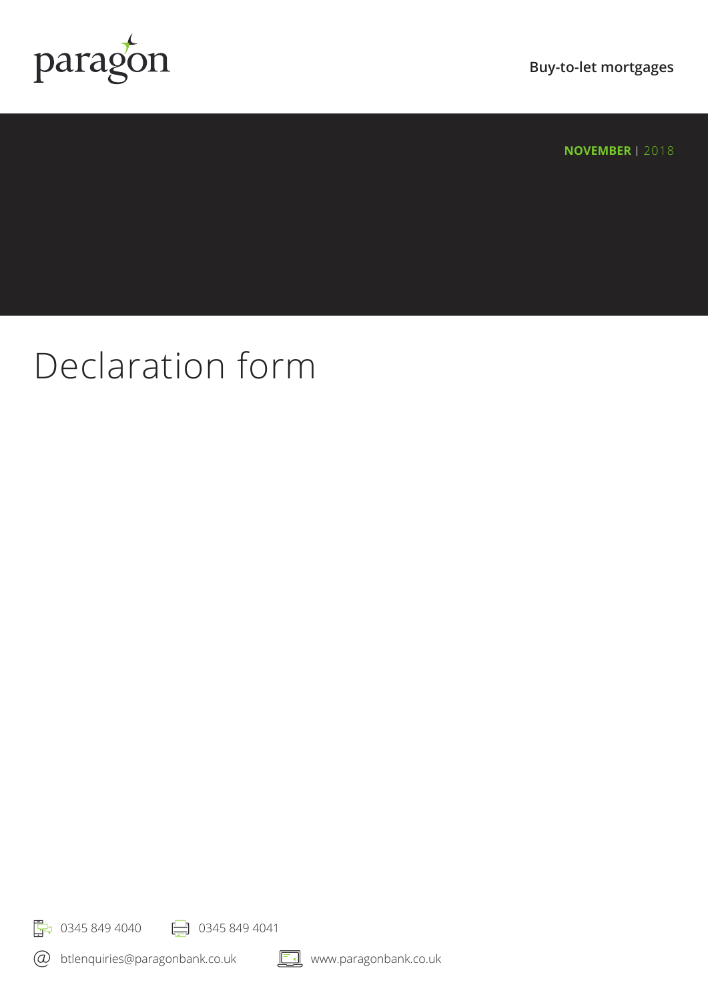

**Buy-to-let mortgages**

**NOVEMBER | 2018** 

# Declaration form

**F**<sub>7</sub> 0345 849 4040 **P** 0345 849 4041

btlenquiries@paragonbank.co.uk

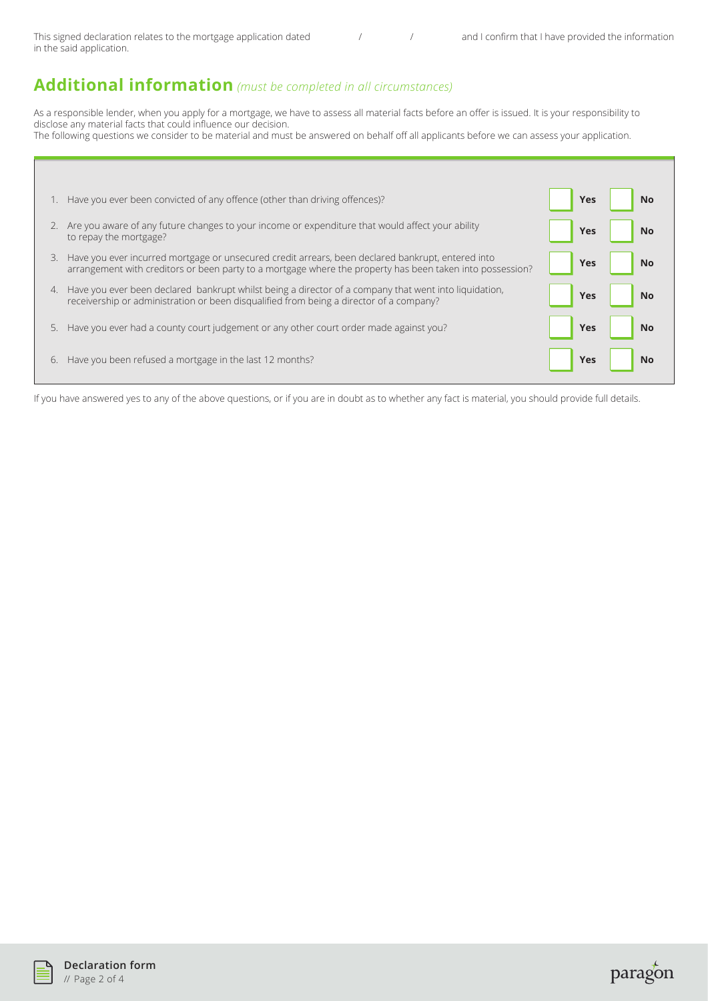This signed declaration relates to the mortgage application dated  $\frac{1}{2}$  / and I confirm that I have provided the information in the said application.

## **Additional information** *(must be completed in all circumstances)*

As a responsible lender, when you apply for a mortgage, we have to assess all material facts before an offer is issued. It is your responsibility to disclose any material facts that could influence our decision. The following questions we consider to be material and must be answered on behalf off all applicants before we can assess your application.

|    | Have you ever been convicted of any offence (other than driving offences)?                                                                                                                                     | <b>Yes</b> | <b>No</b> |
|----|----------------------------------------------------------------------------------------------------------------------------------------------------------------------------------------------------------------|------------|-----------|
|    | Are you aware of any future changes to your income or expenditure that would affect your ability<br>to repay the mortgage?                                                                                     | <b>Yes</b> | <b>No</b> |
| 3. | Have you ever incurred mortgage or unsecured credit arrears, been declared bankrupt, entered into<br>arrangement with creditors or been party to a mortgage where the property has been taken into possession? | Yes        | <b>No</b> |
| 4. | Have you ever been declared bankrupt whilst being a director of a company that went into liquidation,<br>receivership or administration or been disqualified from being a director of a company?               | Yes        | <b>No</b> |
| 5. | Have you ever had a county court judgement or any other court order made against you?                                                                                                                          | <b>Yes</b> | <b>No</b> |
| 6. | Have you been refused a mortgage in the last 12 months?                                                                                                                                                        | <b>Yes</b> | No        |

If you have answered yes to any of the above questions, or if you are in doubt as to whether any fact is material, you should provide full details.



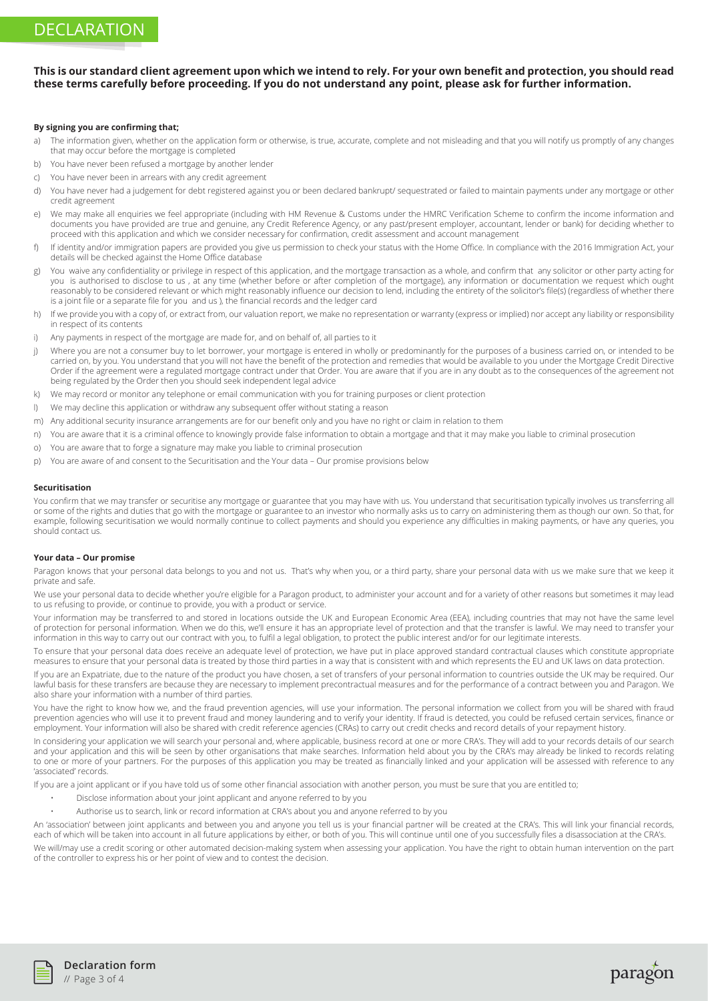### **This is our standard client agreement upon which we intend to rely. For your own benefit and protection, you should read these terms carefully before proceeding. If you do not understand any point, please ask for further information.**

#### **By signing you are confirming that;**

- a) The information given, whether on the application form or otherwise, is true, accurate, complete and not misleading and that you will notify us promptly of any changes that may occur before the mortgage is completed
- b) You have never been refused a mortgage by another lender
- c) You have never been in arrears with any credit agreement
- d) You have never had a judgement for debt registered against you or been declared bankrupt/ sequestrated or failed to maintain payments under any mortgage or other credit agreement
- e) We may make all enquiries we feel appropriate (including with HM Revenue & Customs under the HMRC Verification Scheme to confirm the income information and documents you have provided are true and genuine, any Credit Reference Agency, or any past/present employer, accountant, lender or bank) for deciding whether to proceed with this application and which we consider necessary for confirmation, credit assessment and account management
- f) If identity and/or immigration papers are provided you give us permission to check your status with the Home Office. In compliance with the 2016 Immigration Act, your details will be checked against the Home Office database
- g) You waive any confidentiality or privilege in respect of this application, and the mortgage transaction as a whole, and confirm that any solicitor or other party acting for you is authorised to disclose to us , at any time (whether before or after completion of the mortgage), any information or documentation we request which ought reasonably to be considered relevant or which might reasonably influence our decision to lend, including the entirety of the solicitor's file(s) (regardless of whether there is a joint file or a separate file for you and us ), the financial records and the ledger card
- h) If we provide you with a copy of, or extract from, our valuation report, we make no representation or warranty (express or implied) nor accept any liability or responsibility in respect of its contents
- i) Any payments in respect of the mortgage are made for, and on behalf of, all parties to it
- i) Where you are not a consumer buy to let borrower, your mortgage is entered in wholly or predominantly for the purposes of a business carried on, or intended to be carried on, by you. You understand that you will not have the benefit of the protection and remedies that would be available to you under the Mortgage Credit Directive Order if the agreement were a regulated mortgage contract under that Order. You are aware that if you are in any doubt as to the consequences of the agreement not being regulated by the Order then you should seek independent legal advice
- k) We may record or monitor any telephone or email communication with you for training purposes or client protection
- l) We may decline this application or withdraw any subsequent offer without stating a reason
- m) Any additional security insurance arrangements are for our benefit only and you have no right or claim in relation to them
- n) You are aware that it is a criminal offence to knowingly provide false information to obtain a mortgage and that it may make you liable to criminal prosecution
- o) You are aware that to forge a signature may make you liable to criminal prosecution
- p) You are aware of and consent to the Securitisation and the Your data Our promise provisions below

#### **Securitisation**

You confirm that we may transfer or securitise any mortgage or guarantee that you may have with us. You understand that securitisation typically involves us transferring all or some of the rights and duties that go with the mortgage or guarantee to an investor who normally asks us to carry on administering them as though our own. So that, for example, following securitisation we would normally continue to collect payments and should you experience any difficulties in making payments, or have any queries, you should contact us.

#### **Your data – Our promise**

Paragon knows that your personal data belongs to you and not us. That's why when you, or a third party, share your personal data with us we make sure that we keep it private and safe.

We use your personal data to decide whether you're eligible for a Paragon product, to administer your account and for a variety of other reasons but sometimes it may lead to us refusing to provide, or continue to provide, you with a product or service.

Your information may be transferred to and stored in locations outside the UK and European Economic Area (EEA), including countries that may not have the same level of protection for personal information. When we do this, we'll ensure it has an appropriate level of protection and that the transfer is lawful. We may need to transfer your information in this way to carry out our contract with you, to fulfil a legal obligation, to protect the public interest and/or for our legitimate interests.

To ensure that your personal data does receive an adequate level of protection, we have put in place approved standard contractual clauses which constitute appropriate measures to ensure that your personal data is treated by those third parties in a way that is consistent with and which represents the EU and UK laws on data protection.

If you are an Expatriate, due to the nature of the product you have chosen, a set of transfers of your personal information to countries outside the UK may be required. Our lawful basis for these transfers are because they are necessary to implement precontractual measures and for the performance of a contract between you and Paragon. We also share your information with a number of third parties.

You have the right to know how we, and the fraud prevention agencies, will use your information. The personal information we collect from you will be shared with fraud prevention agencies who will use it to prevent fraud and money laundering and to verify your identity. If fraud is detected, you could be refused certain services, finance or employment. Your information will also be shared with credit reference agencies (CRAs) to carry out credit checks and record details of your repayment history.

In considering your application we will search your personal and, where applicable, business record at one or more CRA's. They will add to your records details of our search and your application and this will be seen by other organisations that make searches. Information held about you by the CRA's may already be linked to records relating to one or more of your partners. For the purposes of this application you may be treated as financially linked and your application will be assessed with reference to any 'associated' records.

If you are a joint applicant or if you have told us of some other financial association with another person, you must be sure that you are entitled to;

- Disclose information about your joint applicant and anyone referred to by you
- Authorise us to search, link or record information at CRA's about you and anyone referred to by you

An 'association' between joint applicants and between you and anyone you tell us is your financial partner will be created at the CRA's. This will link your financial records, each of which will be taken into account in all future applications by either, or both of you. This will continue until one of you successfully files a disassociation at the CRA's. We will/may use a credit scoring or other automated decision-making system when assessing your application. You have the right to obtain human intervention on the part of the controller to express his or her point of view and to contest the decision.